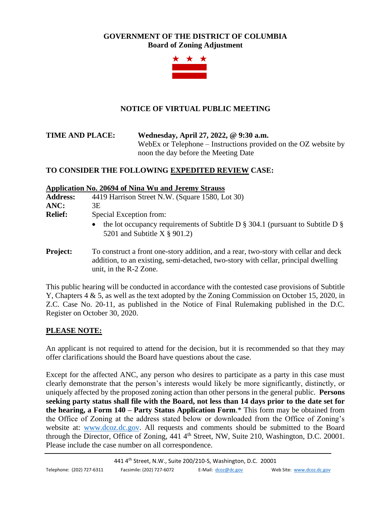# **GOVERNMENT OF THE DISTRICT OF COLUMBIA Board of Zoning Adjustment**



# **NOTICE OF VIRTUAL PUBLIC MEETING**

**TIME AND PLACE: Wednesday, April 27, 2022, @ 9:30 a.m.** WebEx or Telephone – Instructions provided on the OZ website by noon the day before the Meeting Date

# **TO CONSIDER THE FOLLOWING EXPEDITED REVIEW CASE:**

#### **Application No. 20694 of Nina Wu and Jeremy Strauss**

unit, in the R-2 Zone.

| <b>Address:</b> | 4419 Harrison Street N.W. (Square 1580, Lot 30)                                                                                                                           |
|-----------------|---------------------------------------------------------------------------------------------------------------------------------------------------------------------------|
| ANC:            | 3Е                                                                                                                                                                        |
| <b>Relief:</b>  | Special Exception from:                                                                                                                                                   |
|                 | the lot occupancy requirements of Subtitle D $\S$ 304.1 (pursuant to Subtitle D $\S$<br>$\bullet$<br>5201 and Subtitle $X \$ 901.2)                                       |
| <b>Project:</b> | To construct a front one-story addition, and a rear, two-story with cellar and deck<br>addition, to an existing, semi-detached, two-story with cellar, principal dwelling |

This public hearing will be conducted in accordance with the contested case provisions of Subtitle Y, Chapters 4 & 5, as well as the text adopted by the Zoning Commission on October 15, 2020, in Z.C. Case No. 20-11, as published in the Notice of Final Rulemaking published in the D.C. Register on October 30, 2020.

### **PLEASE NOTE:**

An applicant is not required to attend for the decision, but it is recommended so that they may offer clarifications should the Board have questions about the case.

Except for the affected ANC, any person who desires to participate as a party in this case must clearly demonstrate that the person's interests would likely be more significantly, distinctly, or uniquely affected by the proposed zoning action than other persons in the general public. **Persons seeking party status shall file with the Board, not less than 14 days prior to the date set for the hearing, a Form 140 – Party Status Application Form**.\* This form may be obtained from the Office of Zoning at the address stated below or downloaded from the Office of Zoning's website at: [www.dcoz.dc.gov.](http://www.dcoz.dc.gov/) All requests and comments should be submitted to the Board through the Director, Office of Zoning, 441 4<sup>th</sup> Street, NW, Suite 210, Washington, D.C. 20001. Please include the case number on all correspondence.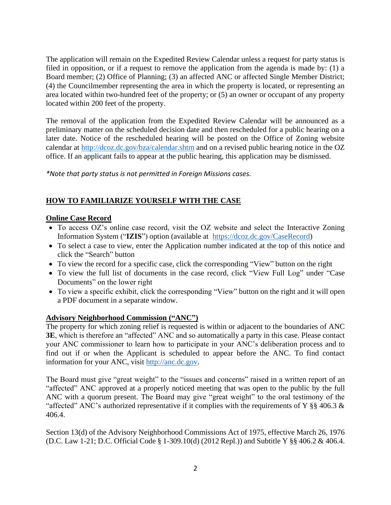The application will remain on the Expedited Review Calendar unless a request for party status is filed in opposition, or if a request to remove the application from the agenda is made by: (1) a Board member; (2) Office of Planning; (3) an affected ANC or affected Single Member District; (4) the Councilmember representing the area in which the property is located, or representing an area located within two-hundred feet of the property; or (5) an owner or occupant of any property located within 200 feet of the property.

The removal of the application from the Expedited Review Calendar will be announced as a preliminary matter on the scheduled decision date and then rescheduled for a public hearing on a later date. Notice of the rescheduled hearing will be posted on the Office of Zoning website calendar at<http://dcoz.dc.gov/bza/calendar.shtm> and on a revised public hearing notice in the OZ office. If an applicant fails to appear at the public hearing, this application may be dismissed.

*\*Note that party status is not permitted in Foreign Missions cases.*

# **HOW TO FAMILIARIZE YOURSELF WITH THE CASE**

#### **Online Case Record**

- To access OZ's online case record, visit the OZ website and select the Interactive Zoning Information System ("**IZIS**") option (available at [https://dcoz.dc.gov/CaseRecord\)](https://dcoz.dc.gov/CaseRecord)
- To select a case to view, enter the Application number indicated at the top of this notice and click the "Search" button
- To view the record for a specific case, click the corresponding "View" button on the right
- To view the full list of documents in the case record, click "View Full Log" under "Case Documents" on the lower right
- To view a specific exhibit, click the corresponding "View" button on the right and it will open a PDF document in a separate window.

### **Advisory Neighborhood Commission ("ANC")**

The property for which zoning relief is requested is within or adjacent to the boundaries of ANC **3E**, which is therefore an "affected" ANC and so automatically a party in this case. Please contact your ANC commissioner to learn how to participate in your ANC's deliberation process and to find out if or when the Applicant is scheduled to appear before the ANC. To find contact information for your ANC, visit [http://anc.dc.gov.](http://anc.dc.gov/)

The Board must give "great weight" to the "issues and concerns" raised in a written report of an "affected" ANC approved at a properly noticed meeting that was open to the public by the full ANC with a quorum present. The Board may give "great weight" to the oral testimony of the "affected" ANC's authorized representative if it complies with the requirements of Y §§ 406.3  $\&$ 406.4.

Section 13(d) of the Advisory Neighborhood Commissions Act of 1975, effective March 26, 1976 (D.C. Law 1-21; D.C. Official Code § 1-309.10(d) (2012 Repl.)) and Subtitle Y §§ 406.2 & 406.4.